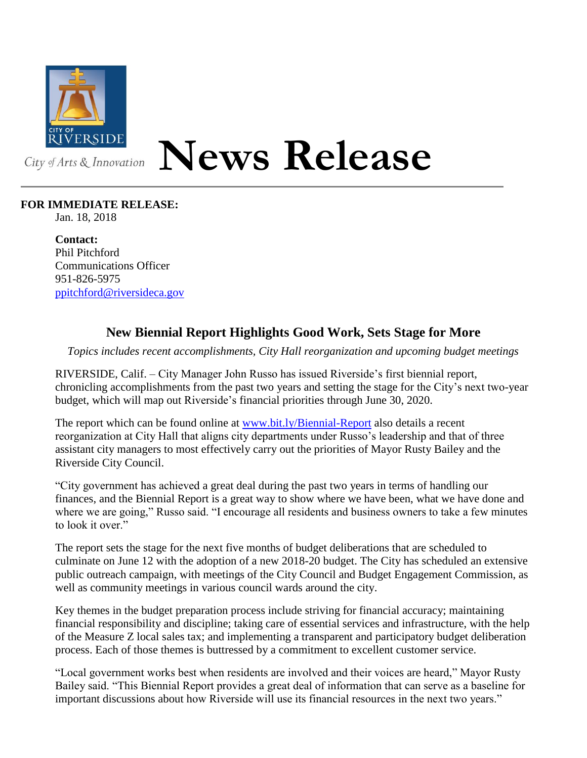

## **News Release**

## **FOR IMMEDIATE RELEASE:**

Jan. 18, 2018

**Contact:** Phil Pitchford Communications Officer 951-826-5975 [ppitchford@riversideca.gov](mailto:ppitchford@riversideca.gov)

## **New Biennial Report Highlights Good Work, Sets Stage for More**

*Topics includes recent accomplishments, City Hall reorganization and upcoming budget meetings*

RIVERSIDE, Calif. – City Manager John Russo has issued Riverside's first biennial report, chronicling accomplishments from the past two years and setting the stage for the City's next two-year budget, which will map out Riverside's financial priorities through June 30, 2020.

The report which can be found online at [www.bit.ly/Biennial-Report](http://www.bit.ly/Biennial-Report) also details a recent reorganization at City Hall that aligns city departments under Russo's leadership and that of three assistant city managers to most effectively carry out the priorities of Mayor Rusty Bailey and the Riverside City Council.

"City government has achieved a great deal during the past two years in terms of handling our finances, and the Biennial Report is a great way to show where we have been, what we have done and where we are going," Russo said. "I encourage all residents and business owners to take a few minutes to look it over."

The report sets the stage for the next five months of budget deliberations that are scheduled to culminate on June 12 with the adoption of a new 2018-20 budget. The City has scheduled an extensive public outreach campaign, with meetings of the City Council and Budget Engagement Commission, as well as community meetings in various council wards around the city.

Key themes in the budget preparation process include striving for financial accuracy; maintaining financial responsibility and discipline; taking care of essential services and infrastructure, with the help of the Measure Z local sales tax; and implementing a transparent and participatory budget deliberation process. Each of those themes is buttressed by a commitment to excellent customer service.

"Local government works best when residents are involved and their voices are heard," Mayor Rusty Bailey said. "This Biennial Report provides a great deal of information that can serve as a baseline for important discussions about how Riverside will use its financial resources in the next two years."